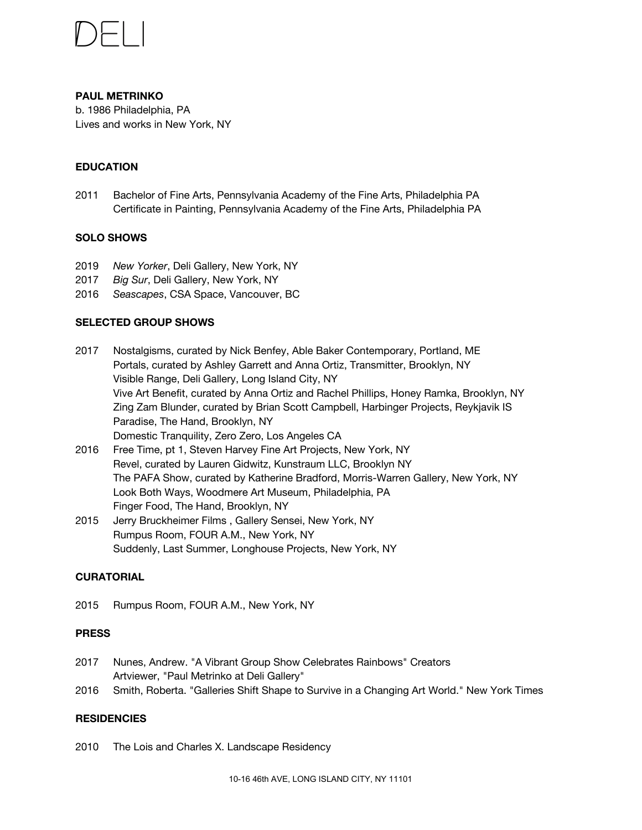

### **PAUL METRINKO** b. 1986 Philadelphia, PA

Lives and works in New York, NY

## **EDUCATION**

2011 Bachelor of Fine Arts, Pennsylvania Academy of the Fine Arts, Philadelphia PA Certificate in Painting, Pennsylvania Academy of the Fine Arts, Philadelphia PA

### **SOLO SHOWS**

- 2019 *New Yorker*, Deli Gallery, New York, NY
- 2017 *Big [Sur](http://www.deligallery.com/paul-metrinko-big-sur)*, Deli Gallery, New York, NY
- 2016 *[Seascapes](http://csaspace.blogspot.ca/2016/09/paul-metrinko-seascapes.html)*, CSA Space, Vancouver, BC

### **SELECTED GROUP SHOWS**

- 2017 [Nostalgisms,](http://ablebakercontemporary.com/section/457166-Nostalgisms-10-13-12-2-17.html) curated by Nick Benfey, Able Baker Contemporary, Portland, ME [Portals,](http://www.transmitter.nyc/) curated by Ashley Garrett and Anna Ortiz, Transmitter, Brooklyn, NY Visible [Range,](http://www.deligallery.com/) Deli Gallery, Long Island City, NY Vive Art Benefit, curated by Anna Ortiz and Rachel Phillips, Honey Ramka, Brooklyn, NY Zing Zam [Blunder,](http://harbinger.is/) curated by Brian Scott Campbell, Harbinger Projects, Reykjavik IS [Paradise](http://thehand.space/shows/paradise/), The Hand, Brooklyn, NY Domestic [Tranquility,](http://0-0la.com/) Zero Zero, Los Angeles CA
- 2016 Free [Time,](http://www.shfap.com/) pt 1, Steven Harvey Fine Art Projects, New York, NY Revel, curated by Lauren Gidwitz, Kunstraum LLC, Brooklyn NY The PAFA [Show,](http://www.morriswarrengallery.com/) curated by Katherine Bradford, Morris-Warren Gallery, New York, NY Look Both [Ways,](https://woodmereartmuseum.org/experience/exhibitions/look-both-ways-art-at-the-crossroads-of-abstraction-and-representation) Woodmere Art Museum, Philadelphia, PA [Finger](http://thehand.space/shows/finger-food/) Food, The Hand, Brooklyn, NY
- 2015 Jerry [Bruckheimer](http://jerrybruckheimerfilms.us/) Films, Gallery Sensei, New York, NY [Rumpus](http://www.fouram.info/rumpus-room/) Room, FOUR A.M., New York, NY [Suddenly,](http://longhouseprojects.com/exhibitions/suddenly-last-summer-2/) Last Summer, Longhouse Projects, New York, NY

## **CURATORIAL**

2015 [Rumpus](http://www.fouram.info/rumpus-room/) Room, FOUR A.M., New York, NY

#### **PRESS**

- 2017 Nunes, [Andrew.](https://creators.vice.com/en_us/article/7x9jm9/rainbow-vibrant-group-show-deli-gallery) "A Vibrant Group Show Celebrates Rainbows" Creators [Artviewer,](http://artviewer.org/paul-metrinko-at-deli-gallery/) "Paul Metrinko at Deli Gallery"
- 2016 Smith, [Roberta.](https://www.nytimes.com/2016/06/24/arts/design/galleries-shift-shape-to-survive-in-a-changing-art-world.html?_r=0) "Galleries Shift Shape to Survive in a Changing Art World." New York Times

#### **RESIDENCIES**

2010 The Lois and Charles X. Landscape Residency